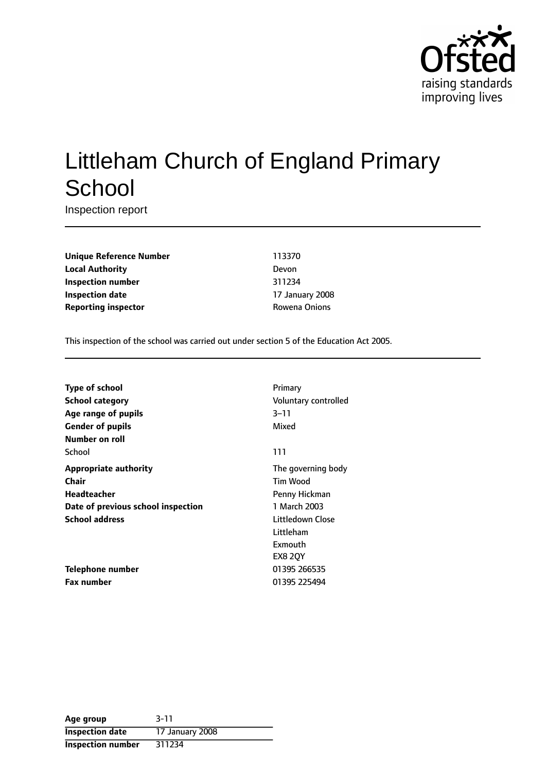

# Littleham Church of England Primary **School**

Inspection report

**Unique Reference Number** 113370 **Local Authority** Devon **Inspection number** 311234 **Inspection date** 17 January 2008 **Reporting inspector CONFIDENTIAL ROWEN Rowena Onions** 

This inspection of the school was carried out under section 5 of the Education Act 2005.

| <b>Type of school</b>              | Primary              |
|------------------------------------|----------------------|
| <b>School category</b>             | Voluntary controlled |
| Age range of pupils                | $3 - 11$             |
| <b>Gender of pupils</b>            | Mixed                |
| Number on roll                     |                      |
| School                             | 111                  |
| <b>Appropriate authority</b>       | The governing body   |
| Chair                              | Tim Wood             |
| <b>Headteacher</b>                 | Penny Hickman        |
| Date of previous school inspection | 1 March 2003         |
| <b>School address</b>              | Littledown Close     |
|                                    | Littleham            |
|                                    | Exmouth              |
|                                    | <b>EX8 20Y</b>       |
| Telephone number                   | 01395 266535         |
| <b>Fax number</b>                  | 01395 225494         |

| Age group                | $3 - 11$        |
|--------------------------|-----------------|
| <b>Inspection date</b>   | 17 January 2008 |
| <b>Inspection number</b> | 311234          |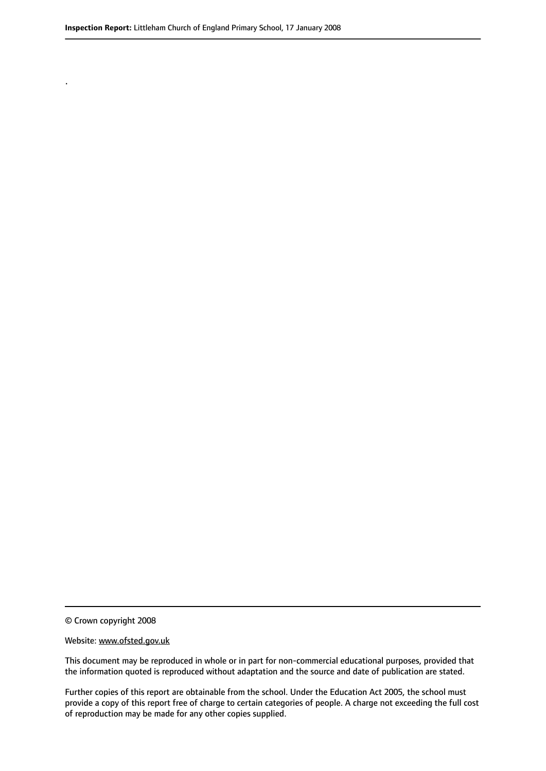.

© Crown copyright 2008

#### Website: www.ofsted.gov.uk

This document may be reproduced in whole or in part for non-commercial educational purposes, provided that the information quoted is reproduced without adaptation and the source and date of publication are stated.

Further copies of this report are obtainable from the school. Under the Education Act 2005, the school must provide a copy of this report free of charge to certain categories of people. A charge not exceeding the full cost of reproduction may be made for any other copies supplied.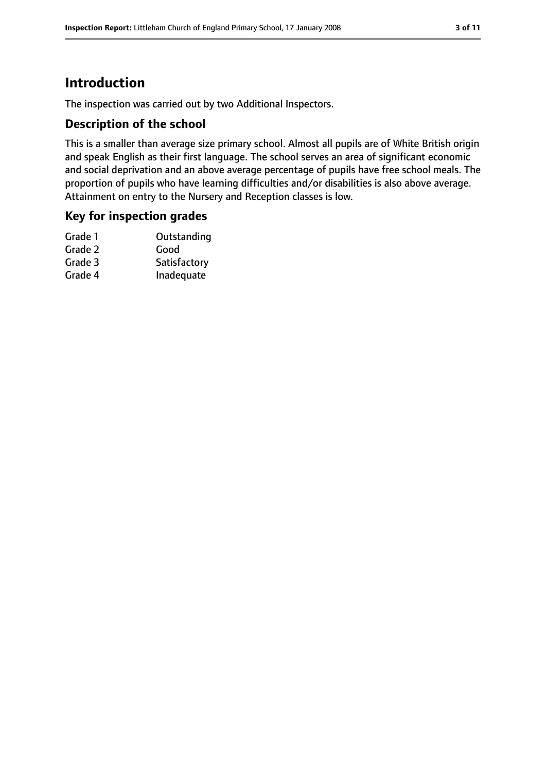# **Introduction**

The inspection was carried out by two Additional Inspectors.

### **Description of the school**

This is a smaller than average size primary school. Almost all pupils are of White British origin and speak English as their first language. The school serves an area of significant economic and social deprivation and an above average percentage of pupils have free school meals. The proportion of pupils who have learning difficulties and/or disabilities is also above average. Attainment on entry to the Nursery and Reception classes is low.

#### **Key for inspection grades**

| Grade 1 | Outstanding  |
|---------|--------------|
| Grade 2 | Good         |
| Grade 3 | Satisfactory |
| Grade 4 | Inadequate   |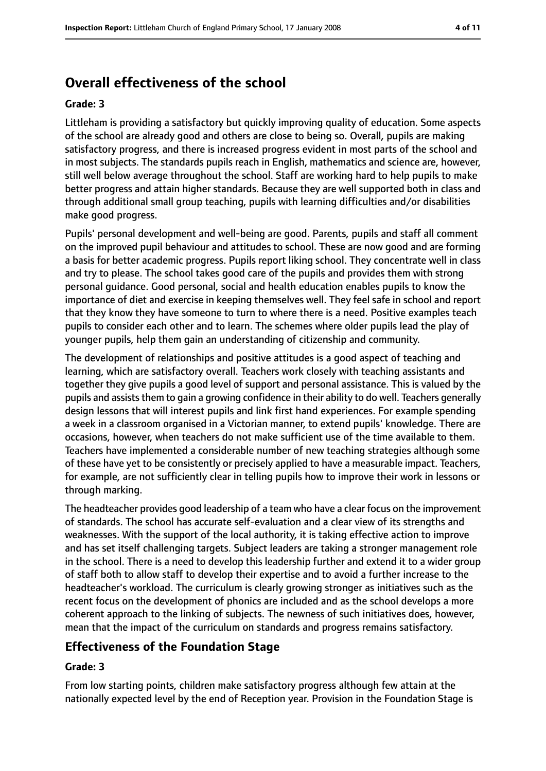# **Overall effectiveness of the school**

#### **Grade: 3**

Littleham is providing a satisfactory but quickly improving quality of education. Some aspects of the school are already good and others are close to being so. Overall, pupils are making satisfactory progress, and there is increased progress evident in most parts of the school and in most subjects. The standards pupils reach in English, mathematics and science are, however, still well below average throughout the school. Staff are working hard to help pupils to make better progress and attain higher standards. Because they are well supported both in class and through additional small group teaching, pupils with learning difficulties and/or disabilities make good progress.

Pupils' personal development and well-being are good. Parents, pupils and staff all comment on the improved pupil behaviour and attitudes to school. These are now good and are forming a basis for better academic progress. Pupils report liking school. They concentrate well in class and try to please. The school takes good care of the pupils and provides them with strong personal guidance. Good personal, social and health education enables pupils to know the importance of diet and exercise in keeping themselves well. They feel safe in school and report that they know they have someone to turn to where there is a need. Positive examples teach pupils to consider each other and to learn. The schemes where older pupils lead the play of younger pupils, help them gain an understanding of citizenship and community.

The development of relationships and positive attitudes is a good aspect of teaching and learning, which are satisfactory overall. Teachers work closely with teaching assistants and together they give pupils a good level of support and personal assistance. This is valued by the pupils and assists them to gain a growing confidence in their ability to do well. Teachers generally design lessons that will interest pupils and link first hand experiences. For example spending a week in a classroom organised in a Victorian manner, to extend pupils' knowledge. There are occasions, however, when teachers do not make sufficient use of the time available to them. Teachers have implemented a considerable number of new teaching strategies although some of these have yet to be consistently or precisely applied to have a measurable impact. Teachers, for example, are not sufficiently clear in telling pupils how to improve their work in lessons or through marking.

The headteacher provides good leadership of a team who have a clear focus on the improvement of standards. The school has accurate self-evaluation and a clear view of its strengths and weaknesses. With the support of the local authority, it is taking effective action to improve and has set itself challenging targets. Subject leaders are taking a stronger management role in the school. There is a need to develop this leadership further and extend it to a wider group of staff both to allow staff to develop their expertise and to avoid a further increase to the headteacher's workload. The curriculum is clearly growing stronger as initiatives such as the recent focus on the development of phonics are included and as the school develops a more coherent approach to the linking of subjects. The newness of such initiatives does, however, mean that the impact of the curriculum on standards and progress remains satisfactory.

### **Effectiveness of the Foundation Stage**

#### **Grade: 3**

From low starting points, children make satisfactory progress although few attain at the nationally expected level by the end of Reception year. Provision in the Foundation Stage is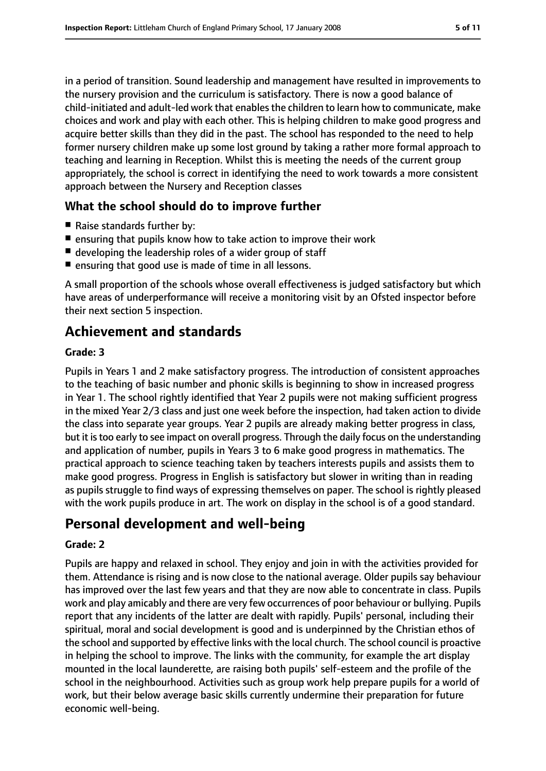in a period of transition. Sound leadership and management have resulted in improvements to the nursery provision and the curriculum is satisfactory. There is now a good balance of child-initiated and adult-led work that enablesthe children to learn how to communicate, make choices and work and play with each other. This is helping children to make good progress and acquire better skills than they did in the past. The school has responded to the need to help former nursery children make up some lost ground by taking a rather more formal approach to teaching and learning in Reception. Whilst this is meeting the needs of the current group appropriately, the school is correct in identifying the need to work towards a more consistent approach between the Nursery and Reception classes

### **What the school should do to improve further**

- Raise standards further by:
- ensuring that pupils know how to take action to improve their work
- developing the leadership roles of a wider group of staff
- ensuring that good use is made of time in all lessons.

A small proportion of the schools whose overall effectiveness is judged satisfactory but which have areas of underperformance will receive a monitoring visit by an Ofsted inspector before their next section 5 inspection.

# **Achievement and standards**

#### **Grade: 3**

Pupils in Years 1 and 2 make satisfactory progress. The introduction of consistent approaches to the teaching of basic number and phonic skills is beginning to show in increased progress in Year 1. The school rightly identified that Year 2 pupils were not making sufficient progress in the mixed Year 2/3 class and just one week before the inspection, had taken action to divide the class into separate year groups. Year 2 pupils are already making better progress in class, but it istoo early to see impact on overall progress. Through the daily focus on the understanding and application of number, pupils in Years 3 to 6 make good progress in mathematics. The practical approach to science teaching taken by teachers interests pupils and assists them to make good progress. Progress in English is satisfactory but slower in writing than in reading as pupils struggle to find ways of expressing themselves on paper. The school is rightly pleased with the work pupils produce in art. The work on display in the school is of a good standard.

# **Personal development and well-being**

#### **Grade: 2**

Pupils are happy and relaxed in school. They enjoy and join in with the activities provided for them. Attendance is rising and is now close to the national average. Older pupils say behaviour has improved over the last few years and that they are now able to concentrate in class. Pupils work and play amicably and there are very few occurrences of poor behaviour or bullying. Pupils report that any incidents of the latter are dealt with rapidly. Pupils' personal, including their spiritual, moral and social development is good and is underpinned by the Christian ethos of the school and supported by effective links with the local church. The school council is proactive in helping the school to improve. The links with the community, for example the art display mounted in the local launderette, are raising both pupils' self-esteem and the profile of the school in the neighbourhood. Activities such as group work help prepare pupils for a world of work, but their below average basic skills currently undermine their preparation for future economic well-being.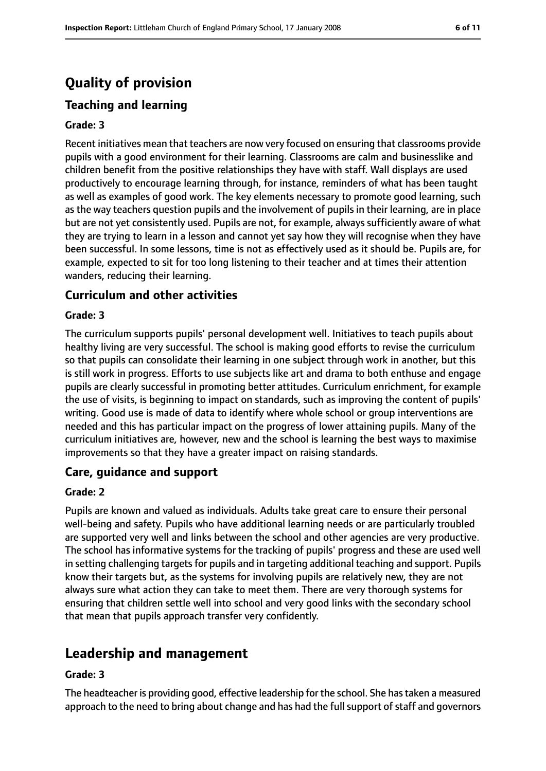# **Quality of provision**

# **Teaching and learning**

#### **Grade: 3**

Recent initiatives mean that teachers are now very focused on ensuring that classrooms provide pupils with a good environment for their learning. Classrooms are calm and businesslike and children benefit from the positive relationships they have with staff. Wall displays are used productively to encourage learning through, for instance, reminders of what has been taught as well as examples of good work. The key elements necessary to promote good learning, such as the way teachers question pupils and the involvement of pupils in their learning, are in place but are not yet consistently used. Pupils are not, for example, always sufficiently aware of what they are trying to learn in a lesson and cannot yet say how they will recognise when they have been successful. In some lessons, time is not as effectively used as it should be. Pupils are, for example, expected to sit for too long listening to their teacher and at times their attention wanders, reducing their learning.

### **Curriculum and other activities**

#### **Grade: 3**

The curriculum supports pupils' personal development well. Initiatives to teach pupils about healthy living are very successful. The school is making good efforts to revise the curriculum so that pupils can consolidate their learning in one subject through work in another, but this is still work in progress. Efforts to use subjects like art and drama to both enthuse and engage pupils are clearly successful in promoting better attitudes. Curriculum enrichment, for example the use of visits, is beginning to impact on standards, such as improving the content of pupils' writing. Good use is made of data to identify where whole school or group interventions are needed and this has particular impact on the progress of lower attaining pupils. Many of the curriculum initiatives are, however, new and the school is learning the best ways to maximise improvements so that they have a greater impact on raising standards.

### **Care, guidance and support**

#### **Grade: 2**

Pupils are known and valued as individuals. Adults take great care to ensure their personal well-being and safety. Pupils who have additional learning needs or are particularly troubled are supported very well and links between the school and other agencies are very productive. The school has informative systems for the tracking of pupils' progress and these are used well in setting challenging targets for pupils and in targeting additional teaching and support. Pupils know their targets but, as the systems for involving pupils are relatively new, they are not always sure what action they can take to meet them. There are very thorough systems for ensuring that children settle well into school and very good links with the secondary school that mean that pupils approach transfer very confidently.

# **Leadership and management**

#### **Grade: 3**

The headteacher is providing good, effective leadership for the school. She hastaken a measured approach to the need to bring about change and has had the full support of staff and governors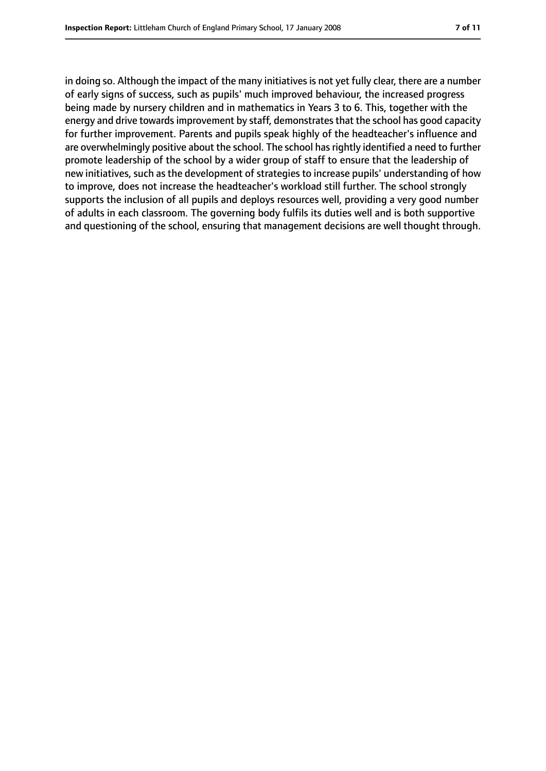in doing so. Although the impact of the many initiatives is not yet fully clear, there are a number of early signs of success, such as pupils' much improved behaviour, the increased progress being made by nursery children and in mathematics in Years 3 to 6. This, together with the energy and drive towards improvement by staff, demonstrates that the school has good capacity for further improvement. Parents and pupils speak highly of the headteacher's influence and are overwhelmingly positive about the school. The school has rightly identified a need to further promote leadership of the school by a wider group of staff to ensure that the leadership of new initiatives, such as the development of strategies to increase pupils' understanding of how to improve, does not increase the headteacher's workload still further. The school strongly supports the inclusion of all pupils and deploys resources well, providing a very good number of adults in each classroom. The governing body fulfils its duties well and is both supportive and questioning of the school, ensuring that management decisions are well thought through.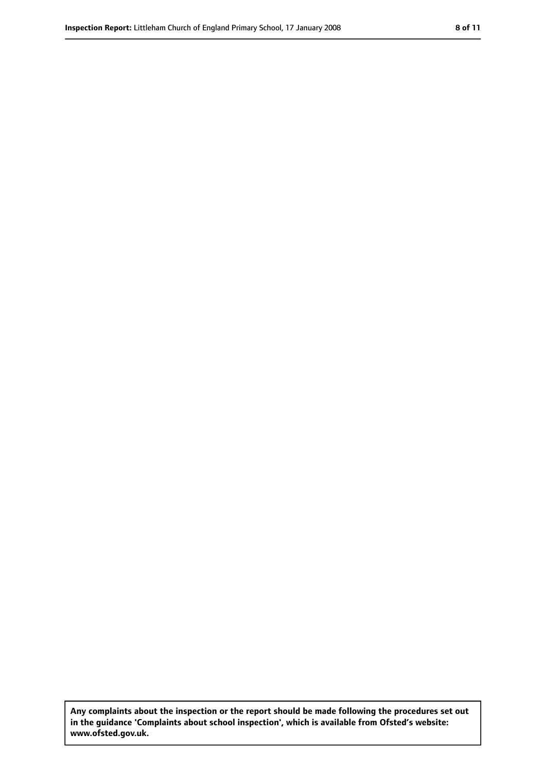**Any complaints about the inspection or the report should be made following the procedures set out in the guidance 'Complaints about school inspection', which is available from Ofsted's website: www.ofsted.gov.uk.**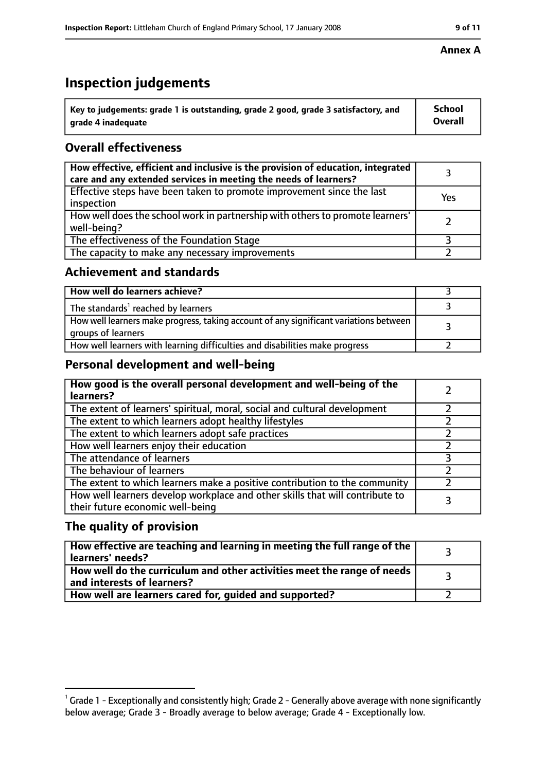# **Inspection judgements**

| $^{\backprime}$ Key to judgements: grade 1 is outstanding, grade 2 good, grade 3 satisfactory, and | School         |
|----------------------------------------------------------------------------------------------------|----------------|
| arade 4 inadequate                                                                                 | <b>Overall</b> |

# **Overall effectiveness**

| How effective, efficient and inclusive is the provision of education, integrated<br>care and any extended services in meeting the needs of learners? |     |
|------------------------------------------------------------------------------------------------------------------------------------------------------|-----|
| Effective steps have been taken to promote improvement since the last<br>inspection                                                                  | Yes |
| How well does the school work in partnership with others to promote learners'<br>well-being?                                                         |     |
| The effectiveness of the Foundation Stage                                                                                                            |     |
| The capacity to make any necessary improvements                                                                                                      |     |

### **Achievement and standards**

| How well do learners achieve?                                                                               |  |
|-------------------------------------------------------------------------------------------------------------|--|
| The standards <sup>1</sup> reached by learners                                                              |  |
| How well learners make progress, taking account of any significant variations between<br>groups of learners |  |
| How well learners with learning difficulties and disabilities make progress                                 |  |

## **Personal development and well-being**

| How good is the overall personal development and well-being of the<br>learners?                                  |  |
|------------------------------------------------------------------------------------------------------------------|--|
| The extent of learners' spiritual, moral, social and cultural development                                        |  |
| The extent to which learners adopt healthy lifestyles                                                            |  |
| The extent to which learners adopt safe practices                                                                |  |
| How well learners enjoy their education                                                                          |  |
| The attendance of learners                                                                                       |  |
| The behaviour of learners                                                                                        |  |
| The extent to which learners make a positive contribution to the community                                       |  |
| How well learners develop workplace and other skills that will contribute to<br>their future economic well-being |  |

## **The quality of provision**

| How effective are teaching and learning in meeting the full range of the<br>learners' needs?          |  |
|-------------------------------------------------------------------------------------------------------|--|
| How well do the curriculum and other activities meet the range of needs<br>and interests of learners? |  |
| How well are learners cared for, guided and supported?                                                |  |

#### **Annex A**

 $^1$  Grade 1 - Exceptionally and consistently high; Grade 2 - Generally above average with none significantly below average; Grade 3 - Broadly average to below average; Grade 4 - Exceptionally low.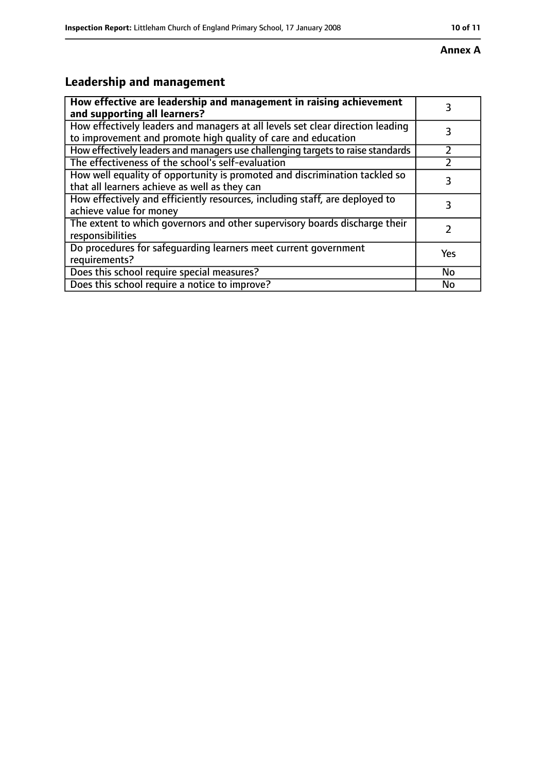#### **Annex A**

# **Leadership and management**

| How effective are leadership and management in raising achievement<br>and supporting all learners?                                              |     |
|-------------------------------------------------------------------------------------------------------------------------------------------------|-----|
| How effectively leaders and managers at all levels set clear direction leading<br>to improvement and promote high quality of care and education |     |
| How effectively leaders and managers use challenging targets to raise standards                                                                 |     |
| The effectiveness of the school's self-evaluation                                                                                               |     |
| How well equality of opportunity is promoted and discrimination tackled so<br>that all learners achieve as well as they can                     |     |
| How effectively and efficiently resources, including staff, are deployed to<br>achieve value for money                                          | 3   |
| The extent to which governors and other supervisory boards discharge their<br>responsibilities                                                  |     |
| Do procedures for safequarding learners meet current government<br>requirements?                                                                | Yes |
| Does this school require special measures?                                                                                                      | No  |
| Does this school require a notice to improve?                                                                                                   | No  |